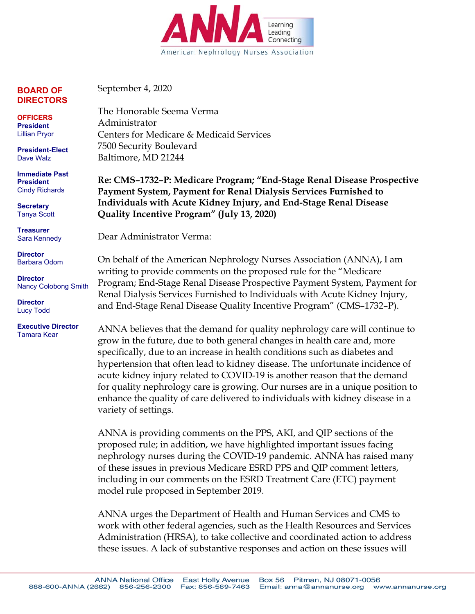

**BOARD OF DIRECTORS** 

**OFFICERS President**  Lillian Pryor

**President-Elect**  Dave Walz

**Immediate Past President**  Cindy Richards

**Secretary**  Tanya Scott

**Treasurer**  Sara Kennedy

**Director**  Barbara Odom

**Director**  Nancy Colobong Smith

**Director**  Lucy Todd

**Executive Director**  Tamara Kear

September 4, 2020

The Honorable Seema Verma Administrator Centers for Medicare & Medicaid Services 7500 Security Boulevard Baltimore, MD 21244

**Re: CMS–1732–P: Medicare Program; "End-Stage Renal Disease Prospective Payment System, Payment for Renal Dialysis Services Furnished to Individuals with Acute Kidney Injury, and End-Stage Renal Disease Quality Incentive Program" (July 13, 2020)**

Dear Administrator Verma:

On behalf of the American Nephrology Nurses Association (ANNA), I am writing to provide comments on the proposed rule for the "Medicare Program; End-Stage Renal Disease Prospective Payment System, Payment for Renal Dialysis Services Furnished to Individuals with Acute Kidney Injury, and End-Stage Renal Disease Quality Incentive Program" (CMS–1732–P).

ANNA believes that the demand for quality nephrology care will continue to grow in the future, due to both general changes in health care and, more specifically, due to an increase in health conditions such as diabetes and hypertension that often lead to kidney disease. The unfortunate incidence of acute kidney injury related to COVID-19 is another reason that the demand for quality nephrology care is growing. Our nurses are in a unique position to enhance the quality of care delivered to individuals with kidney disease in a variety of settings.

ANNA is providing comments on the PPS, AKI, and QIP sections of the proposed rule; in addition, we have highlighted important issues facing nephrology nurses during the COVID-19 pandemic. ANNA has raised many of these issues in previous Medicare ESRD PPS and QIP comment letters, including in our comments on the ESRD Treatment Care (ETC) payment model rule proposed in September 2019.

ANNA urges the Department of Health and Human Services and CMS to work with other federal agencies, such as the Health Resources and Services Administration (HRSA), to take collective and coordinated action to address these issues. A lack of substantive responses and action on these issues will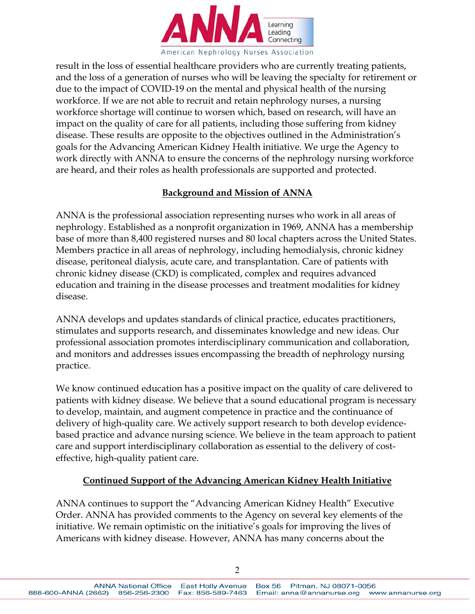

result in the loss of essential healthcare providers who are currently treating patients, and the loss of a generation of nurses who will be leaving the specialty for retirement or due to the impact of COVID-19 on the mental and physical health of the nursing workforce. If we are not able to recruit and retain nephrology nurses, a nursing workforce shortage will continue to worsen which, based on research, will have an impact on the quality of care for all patients, including those suffering from kidney disease. These results are opposite to the objectives outlined in the Administration's goals for the Advancing American Kidney Health initiative. We urge the Agency to work directly with ANNA to ensure the concerns of the nephrology nursing workforce are heard, and their roles as health professionals are supported and protected.

### **Background and Mission of ANNA**

ANNA is the professional association representing nurses who work in all areas of nephrology. Established as a nonprofit organization in 1969, ANNA has a membership base of more than 8,400 registered nurses and 80 local chapters across the United States. Members practice in all areas of nephrology, including hemodialysis, chronic kidney disease, peritoneal dialysis, acute care, and transplantation. Care of patients with chronic kidney disease (CKD) is complicated, complex and requires advanced education and training in the disease processes and treatment modalities for kidney disease.

ANNA develops and updates standards of clinical practice, educates practitioners, stimulates and supports research, and disseminates knowledge and new ideas. Our professional association promotes interdisciplinary communication and collaboration, and monitors and addresses issues encompassing the breadth of nephrology nursing practice.

We know continued education has a positive impact on the quality of care delivered to patients with kidney disease. We believe that a sound educational program is necessary to develop, maintain, and augment competence in practice and the continuance of delivery of high-quality care. We actively support research to both develop evidencebased practice and advance nursing science. We believe in the team approach to patient care and support interdisciplinary collaboration as essential to the delivery of costeffective, high-quality patient care.

## **Continued Support of the Advancing American Kidney Health Initiative**

ANNA continues to support the "Advancing American Kidney Health" Executive Order. ANNA has provided comments to the Agency on several key elements of the initiative. We remain optimistic on the initiative's goals for improving the lives of Americans with kidney disease. However, ANNA has many concerns about the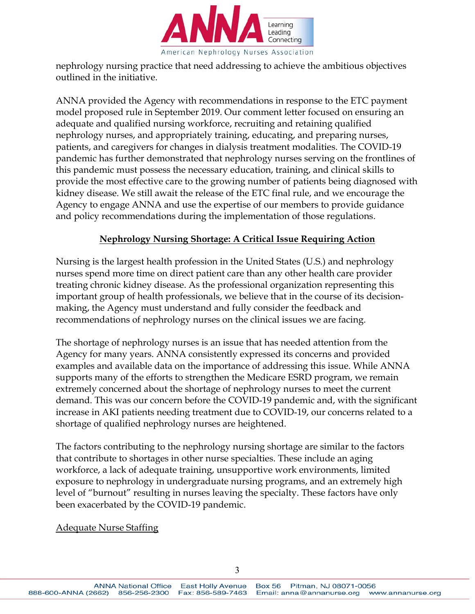

nephrology nursing practice that need addressing to achieve the ambitious objectives outlined in the initiative.

ANNA provided the Agency with recommendations in response to the ETC payment model proposed rule in September 2019. Our comment letter focused on ensuring an adequate and qualified nursing workforce, recruiting and retaining qualified nephrology nurses, and appropriately training, educating, and preparing nurses, patients, and caregivers for changes in dialysis treatment modalities. The COVID-19 pandemic has further demonstrated that nephrology nurses serving on the frontlines of this pandemic must possess the necessary education, training, and clinical skills to provide the most effective care to the growing number of patients being diagnosed with kidney disease. We still await the release of the ETC final rule, and we encourage the Agency to engage ANNA and use the expertise of our members to provide guidance and policy recommendations during the implementation of those regulations.

## **Nephrology Nursing Shortage: A Critical Issue Requiring Action**

Nursing is the largest health profession in the United States (U.S.) and nephrology nurses spend more time on direct patient care than any other health care provider treating chronic kidney disease. As the professional organization representing this important group of health professionals, we believe that in the course of its decisionmaking, the Agency must understand and fully consider the feedback and recommendations of nephrology nurses on the clinical issues we are facing.

The shortage of nephrology nurses is an issue that has needed attention from the Agency for many years. ANNA consistently expressed its concerns and provided examples and available data on the importance of addressing this issue. While ANNA supports many of the efforts to strengthen the Medicare ESRD program, we remain extremely concerned about the shortage of nephrology nurses to meet the current demand. This was our concern before the COVID-19 pandemic and, with the significant increase in AKI patients needing treatment due to COVID-19, our concerns related to a shortage of qualified nephrology nurses are heightened.

The factors contributing to the nephrology nursing shortage are similar to the factors that contribute to shortages in other nurse specialties. These include an aging workforce, a lack of adequate training, unsupportive work environments, limited exposure to nephrology in undergraduate nursing programs, and an extremely high level of "burnout" resulting in nurses leaving the specialty. These factors have only been exacerbated by the COVID-19 pandemic.

## Adequate Nurse Staffing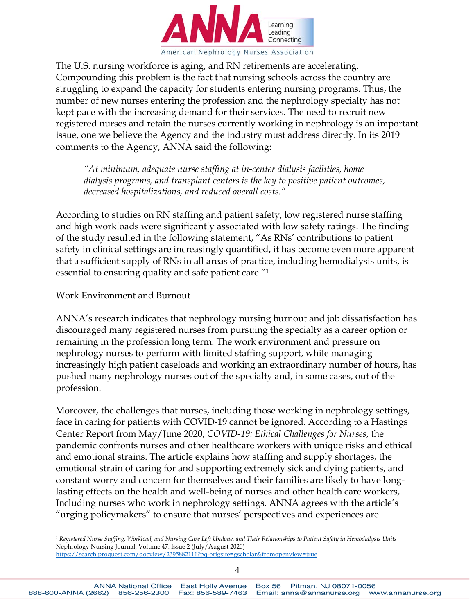

The U.S. nursing workforce is aging, and RN retirements are accelerating. Compounding this problem is the fact that nursing schools across the country are struggling to expand the capacity for students entering nursing programs. Thus, the number of new nurses entering the profession and the nephrology specialty has not kept pace with the increasing demand for their services. The need to recruit new registered nurses and retain the nurses currently working in nephrology is an important issue, one we believe the Agency and the industry must address directly. In its 2019 comments to the Agency, ANNA said the following:

*"At minimum, adequate nurse staffing at in-center dialysis facilities, home dialysis programs, and transplant centers is the key to positive patient outcomes, decreased hospitalizations, and reduced overall costs."* 

According to studies on RN staffing and patient safety, low registered nurse staffing and high workloads were significantly associated with low safety ratings. The finding of the study resulted in the following statement, "As RNs' contributions to patient safety in clinical settings are increasingly quantified, it has become even more apparent that a sufficient supply of RNs in all areas of practice, including hemodialysis units, is essential to ensuring quality and safe patient care."1

### Work Environment and Burnout

 $\overline{a}$ 

ANNA's research indicates that nephrology nursing burnout and job dissatisfaction has discouraged many registered nurses from pursuing the specialty as a career option or remaining in the profession long term. The work environment and pressure on nephrology nurses to perform with limited staffing support, while managing increasingly high patient caseloads and working an extraordinary number of hours, has pushed many nephrology nurses out of the specialty and, in some cases, out of the profession.

Moreover, the challenges that nurses, including those working in nephrology settings, face in caring for patients with COVID-19 cannot be ignored. According to a Hastings Center Report from May/June 2020, *COVID-19: Ethical Challenges for Nurses*, the pandemic confronts nurses and other healthcare workers with unique risks and ethical and emotional strains. The article explains how staffing and supply shortages, the emotional strain of caring for and supporting extremely sick and dying patients, and constant worry and concern for themselves and their families are likely to have longlasting effects on the health and well-being of nurses and other health care workers, Including nurses who work in nephrology settings. ANNA agrees with the article's "urging policymakers" to ensure that nurses' perspectives and experiences are

<sup>&</sup>lt;sup>1</sup> Registered Nurse Staffing, Workload, and Nursing Care Left Undone, and Their Relationships to Patient Safety in Hemodialysis Units Nephrology Nursing Journal, Volume 47, Issue 2 (July/August 2020)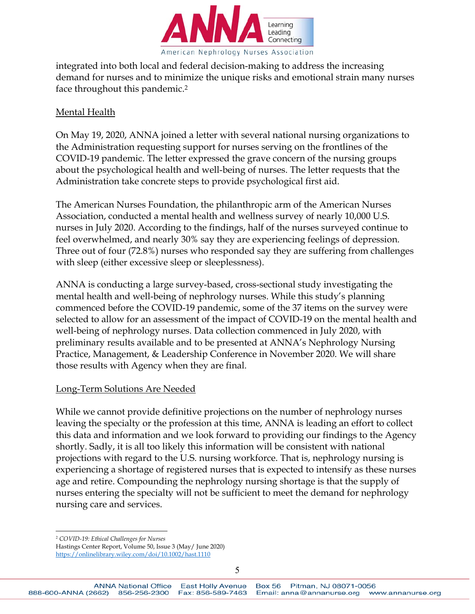

integrated into both local and federal decision-making to address the increasing demand for nurses and to minimize the unique risks and emotional strain many nurses face throughout this pandemic.2

#### Mental Health

On May 19, 2020, ANNA joined a letter with several national nursing organizations to the Administration requesting support for nurses serving on the frontlines of the COVID-19 pandemic. The letter expressed the grave concern of the nursing groups about the psychological health and well-being of nurses. The letter requests that the Administration take concrete steps to provide psychological first aid.

The American Nurses Foundation, the philanthropic arm of the American Nurses Association, conducted a mental health and wellness survey of nearly 10,000 U.S. nurses in July 2020. According to the findings, half of the nurses surveyed continue to feel overwhelmed, and nearly 30% say they are experiencing feelings of depression. Three out of four (72.8%) nurses who responded say they are suffering from challenges with sleep (either excessive sleep or sleeplessness).

ANNA is conducting a large survey-based, cross-sectional study investigating the mental health and well-being of nephrology nurses. While this study's planning commenced before the COVID-19 pandemic, some of the 37 items on the survey were selected to allow for an assessment of the impact of COVID-19 on the mental health and well-being of nephrology nurses. Data collection commenced in July 2020, with preliminary results available and to be presented at ANNA's Nephrology Nursing Practice, Management, & Leadership Conference in November 2020. We will share those results with Agency when they are final.

#### Long-Term Solutions Are Needed

While we cannot provide definitive projections on the number of nephrology nurses leaving the specialty or the profession at this time, ANNA is leading an effort to collect this data and information and we look forward to providing our findings to the Agency shortly. Sadly, it is all too likely this information will be consistent with national projections with regard to the U.S. nursing workforce. That is, nephrology nursing is experiencing a shortage of registered nurses that is expected to intensify as these nurses age and retire. Compounding the nephrology nursing shortage is that the supply of nurses entering the specialty will not be sufficient to meet the demand for nephrology nursing care and services.

 $\overline{a}$ <sup>2</sup> *COVID-19: Ethical Challenges for Nurses* 

Hastings Center Report, Volume 50, Issue 3 (May/ June 2020) https://onlinelibrary.wiley.com/doi/10.1002/hast.1110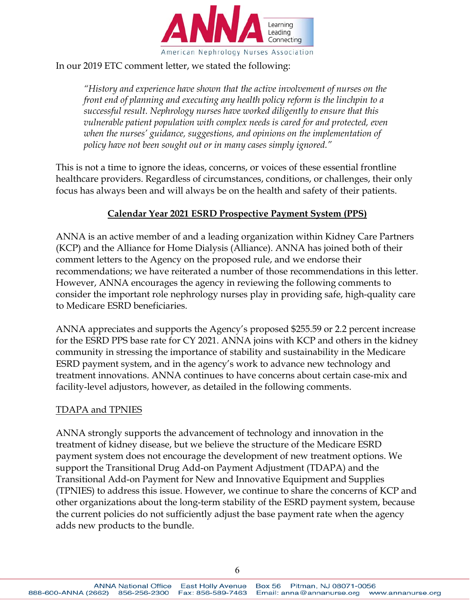

#### In our 2019 ETC comment letter, we stated the following:

*"History and experience have shown that the active involvement of nurses on the front end of planning and executing any health policy reform is the linchpin to a successful result. Nephrology nurses have worked diligently to ensure that this vulnerable patient population with complex needs is cared for and protected, even when the nurses' guidance, suggestions, and opinions on the implementation of policy have not been sought out or in many cases simply ignored."* 

This is not a time to ignore the ideas, concerns, or voices of these essential frontline healthcare providers. Regardless of circumstances, conditions, or challenges, their only focus has always been and will always be on the health and safety of their patients.

### **Calendar Year 2021 ESRD Prospective Payment System (PPS)**

ANNA is an active member of and a leading organization within Kidney Care Partners (KCP) and the Alliance for Home Dialysis (Alliance). ANNA has joined both of their comment letters to the Agency on the proposed rule, and we endorse their recommendations; we have reiterated a number of those recommendations in this letter. However, ANNA encourages the agency in reviewing the following comments to consider the important role nephrology nurses play in providing safe, high-quality care to Medicare ESRD beneficiaries.

ANNA appreciates and supports the Agency's proposed \$255.59 or 2.2 percent increase for the ESRD PPS base rate for CY 2021. ANNA joins with KCP and others in the kidney community in stressing the importance of stability and sustainability in the Medicare ESRD payment system, and in the agency's work to advance new technology and treatment innovations. ANNA continues to have concerns about certain case-mix and facility-level adjustors, however, as detailed in the following comments.

#### TDAPA and TPNIES

ANNA strongly supports the advancement of technology and innovation in the treatment of kidney disease, but we believe the structure of the Medicare ESRD payment system does not encourage the development of new treatment options. We support the Transitional Drug Add-on Payment Adjustment (TDAPA) and the Transitional Add-on Payment for New and Innovative Equipment and Supplies (TPNIES) to address this issue. However, we continue to share the concerns of KCP and other organizations about the long-term stability of the ESRD payment system, because the current policies do not sufficiently adjust the base payment rate when the agency adds new products to the bundle.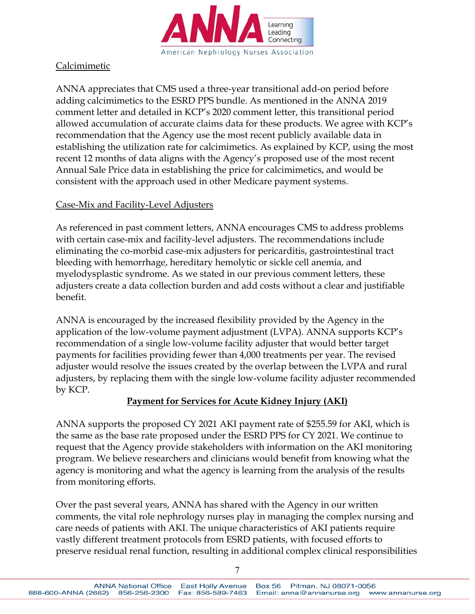

# Calcimimetic

ANNA appreciates that CMS used a three-year transitional add-on period before adding calcimimetics to the ESRD PPS bundle. As mentioned in the ANNA 2019 comment letter and detailed in KCP's 2020 comment letter, this transitional period allowed accumulation of accurate claims data for these products. We agree with KCP's recommendation that the Agency use the most recent publicly available data in establishing the utilization rate for calcimimetics. As explained by KCP, using the most recent 12 months of data aligns with the Agency's proposed use of the most recent Annual Sale Price data in establishing the price for calcimimetics, and would be consistent with the approach used in other Medicare payment systems.

## Case-Mix and Facility-Level Adjusters

As referenced in past comment letters, ANNA encourages CMS to address problems with certain case-mix and facility-level adjusters. The recommendations include eliminating the co-morbid case-mix adjusters for pericarditis, gastrointestinal tract bleeding with hemorrhage, hereditary hemolytic or sickle cell anemia, and myelodysplastic syndrome. As we stated in our previous comment letters, these adjusters create a data collection burden and add costs without a clear and justifiable benefit.

ANNA is encouraged by the increased flexibility provided by the Agency in the application of the low-volume payment adjustment (LVPA). ANNA supports KCP's recommendation of a single low-volume facility adjuster that would better target payments for facilities providing fewer than 4,000 treatments per year. The revised adjuster would resolve the issues created by the overlap between the LVPA and rural adjusters, by replacing them with the single low-volume facility adjuster recommended by KCP.

## **Payment for Services for Acute Kidney Injury (AKI)**

ANNA supports the proposed CY 2021 AKI payment rate of \$255.59 for AKI, which is the same as the base rate proposed under the ESRD PPS for CY 2021. We continue to request that the Agency provide stakeholders with information on the AKI monitoring program. We believe researchers and clinicians would benefit from knowing what the agency is monitoring and what the agency is learning from the analysis of the results from monitoring efforts.

Over the past several years, ANNA has shared with the Agency in our written comments, the vital role nephrology nurses play in managing the complex nursing and care needs of patients with AKI. The unique characteristics of AKI patients require vastly different treatment protocols from ESRD patients, with focused efforts to preserve residual renal function, resulting in additional complex clinical responsibilities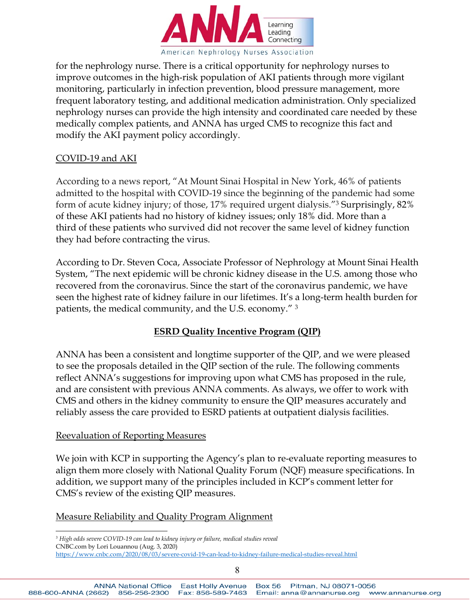

for the nephrology nurse. There is a critical opportunity for nephrology nurses to improve outcomes in the high-risk population of AKI patients through more vigilant monitoring, particularly in infection prevention, blood pressure management, more frequent laboratory testing, and additional medication administration. Only specialized nephrology nurses can provide the high intensity and coordinated care needed by these medically complex patients, and ANNA has urged CMS to recognize this fact and modify the AKI payment policy accordingly.

#### COVID-19 and AKI

According to a news report, "At Mount Sinai Hospital in New York, 46% of patients admitted to the hospital with COVID-19 since the beginning of the pandemic had some form of acute kidney injury; of those, 17% required urgent dialysis."3 Surprisingly, 82% of these AKI patients had no history of kidney issues; only 18% did. More than a third of these patients who survived did not recover the same level of kidney function they had before contracting the virus.

According to Dr. Steven Coca, Associate Professor of Nephrology at Mount Sinai Health System, "The next epidemic will be chronic kidney disease in the U.S. among those who recovered from the coronavirus. Since the start of the coronavirus pandemic, we have seen the highest rate of kidney failure in our lifetimes. It's a long-term health burden for patients, the medical community, and the U.S. economy." <sup>3</sup>

## **ESRD Quality Incentive Program (QIP)**

ANNA has been a consistent and longtime supporter of the QIP, and we were pleased to see the proposals detailed in the QIP section of the rule. The following comments reflect ANNA's suggestions for improving upon what CMS has proposed in the rule, and are consistent with previous ANNA comments. As always, we offer to work with CMS and others in the kidney community to ensure the QIP measures accurately and reliably assess the care provided to ESRD patients at outpatient dialysis facilities.

#### Reevaluation of Reporting Measures

We join with KCP in supporting the Agency's plan to re-evaluate reporting measures to align them more closely with National Quality Forum (NQF) measure specifications. In addition, we support many of the principles included in KCP's comment letter for CMS's review of the existing QIP measures.

## Measure Reliability and Quality Program Alignment

 $\overline{a}$ 3  *High odds severe COVID-19 can lead to kidney injury or failure, medical studies reveal* CNBC.com by Lori Louannou (Aug. 3, 2020)

https://www.cnbc.com/2020/08/03/severe-covid-19-can-lead-to-kidney-failure-medical-studies-reveal.html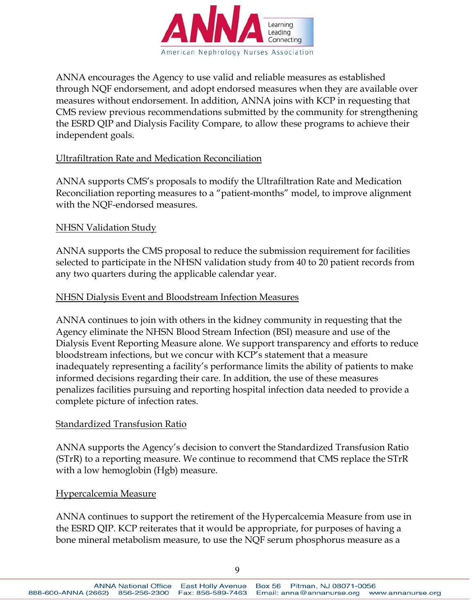

ANNA encourages the Agency to use valid and reliable measures as established through NQF endorsement, and adopt endorsed measures when they are available over measures without endorsement. In addition, ANNA joins with KCP in requesting that CMS review previous recommendations submitted by the community for strengthening the ESRD QIP and Dialysis Facility Compare, to allow these programs to achieve their independent goals.

#### Ultrafiltration Rate and Medication Reconciliation

ANNA supports CMS's proposals to modify the Ultrafiltration Rate and Medication Reconciliation reporting measures to a "patient-months" model, to improve alignment with the NQF-endorsed measures.

### NHSN Validation Study

ANNA supports the CMS proposal to reduce the submission requirement for facilities selected to participate in the NHSN validation study from 40 to 20 patient records from any two quarters during the applicable calendar year.

### NHSN Dialysis Event and Bloodstream Infection Measures

ANNA continues to join with others in the kidney community in requesting that the Agency eliminate the NHSN Blood Stream Infection (BSI) measure and use of the Dialysis Event Reporting Measure alone. We support transparency and efforts to reduce bloodstream infections, but we concur with KCP's statement that a measure inadequately representing a facility's performance limits the ability of patients to make informed decisions regarding their care. In addition, the use of these measures penalizes facilities pursuing and reporting hospital infection data needed to provide a complete picture of infection rates.

#### Standardized Transfusion Ratio

ANNA supports the Agency's decision to convert the Standardized Transfusion Ratio (STrR) to a reporting measure. We continue to recommend that CMS replace the STrR with a low hemoglobin (Hgb) measure.

#### Hypercalcemia Measure

ANNA continues to support the retirement of the Hypercalcemia Measure from use in the ESRD QIP. KCP reiterates that it would be appropriate, for purposes of having a bone mineral metabolism measure, to use the NQF serum phosphorus measure as a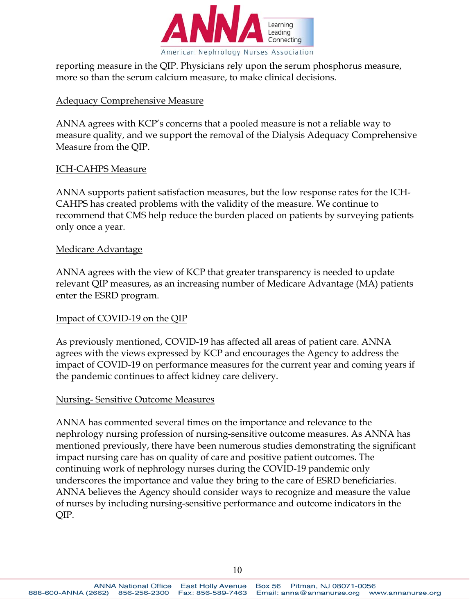

reporting measure in the QIP. Physicians rely upon the serum phosphorus measure, more so than the serum calcium measure, to make clinical decisions.

### Adequacy Comprehensive Measure

ANNA agrees with KCP's concerns that a pooled measure is not a reliable way to measure quality, and we support the removal of the Dialysis Adequacy Comprehensive Measure from the QIP.

#### ICH-CAHPS Measure

ANNA supports patient satisfaction measures, but the low response rates for the ICH-CAHPS has created problems with the validity of the measure. We continue to recommend that CMS help reduce the burden placed on patients by surveying patients only once a year.

#### Medicare Advantage

ANNA agrees with the view of KCP that greater transparency is needed to update relevant QIP measures, as an increasing number of Medicare Advantage (MA) patients enter the ESRD program.

#### Impact of COVID-19 on the QIP

As previously mentioned, COVID-19 has affected all areas of patient care. ANNA agrees with the views expressed by KCP and encourages the Agency to address the impact of COVID-19 on performance measures for the current year and coming years if the pandemic continues to affect kidney care delivery.

#### Nursing- Sensitive Outcome Measures

ANNA has commented several times on the importance and relevance to the nephrology nursing profession of nursing-sensitive outcome measures. As ANNA has mentioned previously, there have been numerous studies demonstrating the significant impact nursing care has on quality of care and positive patient outcomes. The continuing work of nephrology nurses during the COVID-19 pandemic only underscores the importance and value they bring to the care of ESRD beneficiaries. ANNA believes the Agency should consider ways to recognize and measure the value of nurses by including nursing-sensitive performance and outcome indicators in the QIP.